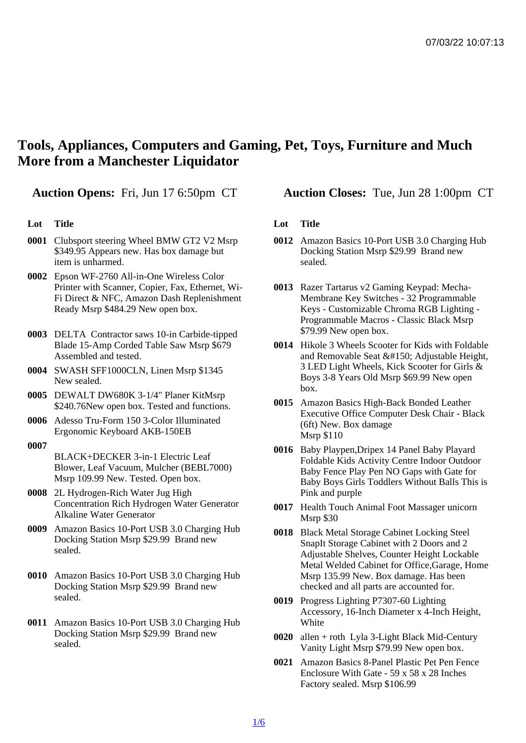## Tools, Appliances, Computers and Gaming, Pet, Toys, Furniture and Much More from a Manchester Liquidator

## Lot Title

- 0001 Clubsport steering Wheel BMW GT2 V2 Msrp \$349.95 Appears new. Has box damage but item is unharmed.
- 0002 Epson WF-2760 All-in-One Wireless Color Printer with Scanner, Copier, Fax, Ethernet, Wi-Fi Direct & NFC, Amazon Dash Replenishment Ready Msrp \$484.29 New open box.
- 0003 DELTA Contractor saws 10-in Carbide-tipped Blade 15-Amp Corded Table Saw Msrp \$679 Assembled and tested.
- 0004 SWASH SFF1000CLN, Linen Msrp \$1345 New sealed.
- 0005 DEWALT DW680K 3-1/4" Planer KitMsrp \$240.76New open box. Tested and functions.
- 0006 Adesso Tru-Form 150 3-Color Illuminated Ergonomic Keyboard AKB-150EB

## 0007

- BLACK+DECKER 3-in-1 Electric Leaf Blower, Leaf Vacuum, Mulcher (BEBL7000) Msrp 109.99 New. Tested. Open box.
- 0008 2L Hydrogen-Rich Water Jug High Concentration Rich Hydrogen Water Generator Alkaline Water Generator
- 0009 Amazon Basics 10-Port USB 3.0 Charging Hub Docking Station Msrp \$29.99 Brand new sealed.
- 0010 Amazon Basics 10-Port USB 3.0 Charging Hub Docking Station Msrp \$29.99 Brand new sealed.
- 0011 Amazon Basics 10-Port USB 3.0 Charging Hub Docking Station Msrp \$29.99 Brand new sealed.

Auction Opens: Fri, Jun 17 6:50pm CT Auction Closes: Tue, Jun 28 1:00pm CT

## Lot Title

- 0012 Amazon Basics 10-Port USB 3.0 Charging Hub Docking Station Msrp \$29.99 Brand new sealed.
- 0013 Razer Tartarus v2 Gaming Keypad: Mecha-Membrane Key Switches - 32 Programmable Keys - Customizable Chroma RGB Lighting - Programmable Macros - Classic Black Msrp \$79.99 New open box.
- 0014 Hikole 3 Wheels Scooter for Kids with Foldable and Removable Seat &#150: Adiustable Height, 3 LED Light Wheels, Kick Scooter for Girls & Boys 3-8 Years Old Msrp \$69.99 New open box.
- 0015 Amazon Basics High-Back Bonded Leather Executive Office Computer Desk Chair - Black (6ft) New. Box damage Msrp \$110
- 0016 Baby Playpen,Dripex 14 Panel Baby Playard Foldable Kids Activity Centre Indoor Outdoor Baby Fence Play Pen NO Gaps with Gate for Baby Boys Girls Toddlers Without Balls This is Pink and purple
- 0017 Health Touch Animal Foot Massager unicorn Msrp \$30
- 0018 Black Metal Storage Cabinet Locking Steel SnapIt Storage Cabinet with 2 Doors and 2 Adjustable Shelves, Counter Height Lockable Metal Welded Cabinet for Office,Garage, Home Msrp 135.99 New. Box damage. Has been checked and all parts are accounted for.
- 0019 Progress Lighting P7307-60 Lighting Accessory, 16-Inch Diameter x 4-Inch Height, **White**
- 0020 allen + roth Lyla 3-Light Black Mid-Century Vanity Light Msrp \$79.99 New open box.
- 0021 Amazon Basics 8-Panel Plastic Pet Pen Fence Enclosure With Gate - 59 x 58 x 28 Inches Factory sealed. Msrp \$106.99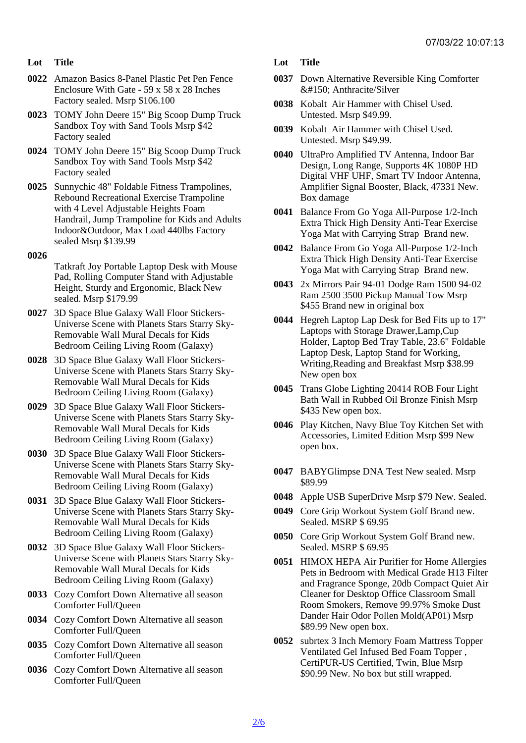- Lot Title
- 0022 Amazon Basics 8-Panel Plastic Pet Pen Fence Enclosure With Gate - 59 x 58 x 28 Inches Factory sealed. Msrp \$106.100
- 0023 TOMY John Deere 15" Big Scoop Dump Truck Sandbox Toy with Sand Tools Msrp \$42 Factory sealed
- 0024 TOMY John Deere 15" Big Scoop Dump Truck Sandbox Toy with Sand Tools Msrp \$42 Factory sealed
- 0025 Sunnychic 48" Foldable Fitness Trampolines, Rebound Recreational Exercise Trampoline with 4 Level Adjustable Heights Foam Handrail, Jump Trampoline for Kids and Adults Indoor&Outdoor, Max Load 440lbs Factory sealed Msrp \$139.99

0026

Tatkraft Joy Portable Laptop Desk with Mouse Pad, Rolling Computer Stand with Adjustable Height, Sturdy and Ergonomic, Black New sealed. Msrp \$179.99

- 0027 3D Space Blue Galaxy Wall Floor Stickers-Universe Scene with Planets Stars Starry Sky-Removable Wall Mural Decals for Kids Bedroom Ceiling Living Room (Galaxy)
- 0028 3D Space Blue Galaxy Wall Floor Stickers-Universe Scene with Planets Stars Starry Sky-Removable Wall Mural Decals for Kids Bedroom Ceiling Living Room (Galaxy)
- 0029 3D Space Blue Galaxy Wall Floor Stickers-Universe Scene with Planets Stars Starry Sky-Removable Wall Mural Decals for Kids Bedroom Ceiling Living Room (Galaxy)
- 0030 3D Space Blue Galaxy Wall Floor Stickers-Universe Scene with Planets Stars Starry Sky-Removable Wall Mural Decals for Kids Bedroom Ceiling Living Room (Galaxy)
- 0031 3D Space Blue Galaxy Wall Floor Stickers-Universe Scene with Planets Stars Starry Sky-Removable Wall Mural Decals for Kids Bedroom Ceiling Living Room (Galaxy)
- 0032 3D Space Blue Galaxy Wall Floor Stickers-Universe Scene with Planets Stars Starry Sky-Removable Wall Mural Decals for Kids Bedroom Ceiling Living Room (Galaxy)
- 0033 Cozy Comfort Down Alternative all season Comforter Full/Queen
- 0034 Cozy Comfort Down Alternative all season Comforter Full/Queen
- 0035 Cozy Comfort Down Alternative all season Comforter Full/Queen
- 0036 Cozy Comfort Down Alternative all season Comforter Full/Queen
- Lot Title
- 0037 Down Alternative Reversible King Comforter &#150: Anthracite/Silver
- 0038 Kobalt Air Hammer with Chisel Used. Untested. Msrp \$49.99.
- 0039 Kobalt Air Hammer with Chisel Used. Untested. Msrp \$49.99.
- 0040 UltraPro Amplified TV Antenna, Indoor Bar Design, Long Range, Supports 4K 1080P HD Digital VHF UHF, Smart TV Indoor Antenna, Amplifier Signal Booster, Black, 47331 New. Box damage
- 0041 Balance From Go Yoga All-Purpose 1/2-Inch Extra Thick High Density Anti-Tear Exercise Yoga Mat with Carrying Strap Brand new.
- 0042 Balance From Go Yoga All-Purpose 1/2-Inch Extra Thick High Density Anti-Tear Exercise Yoga Mat with Carrying Strap Brand new.
- 0043 2x Mirrors Pair 94-01 Dodge Ram 1500 94-02 Ram 2500 3500 Pickup Manual Tow Msrp \$455 Brand new in original box
- 0044 Hegreh Laptop Lap Desk for Bed Fits up to 17" Laptops with Storage Drawer,Lamp,Cup Holder, Laptop Bed Tray Table, 23.6" Foldable Laptop Desk, Laptop Stand for Working, Writing,Reading and Breakfast Msrp \$38.99 New open box
- 0045 Trans Globe Lighting 20414 ROB Four Light Bath Wall in Rubbed Oil Bronze Finish Msrp \$435 New open box.
- 0046 Play Kitchen, Navy Blue Toy Kitchen Set with Accessories, Limited Edition Msrp \$99 New open box.
- 0047 BABYGlimpse DNA Test New sealed. Msrp \$89.99
- 0048 Apple USB SuperDrive Msrp \$79 New. Sealed.
- 0049 Core Grip Workout System Golf Brand new. Sealed. MSRP \$ 69.95
- 0050 Core Grip Workout System Golf Brand new. Sealed. MSRP \$ 69.95
- 0051 HIMOX HEPA Air Purifier for Home Allergies Pets in Bedroom with Medical Grade H13 Filter and Fragrance Sponge, 20db Compact Quiet Air Cleaner for Desktop Office Classroom Small Room Smokers, Remove 99.97% Smoke Dust Dander Hair Odor Pollen Mold(AP01) Msrp \$89.99 New open box.
- 0052 subrtex 3 Inch Memory Foam Mattress Topper Ventilated Gel Infused Bed Foam Topper , CertiPUR-US Certified, Twin, Blue Msrp \$90.99 New. No box but still wrapped.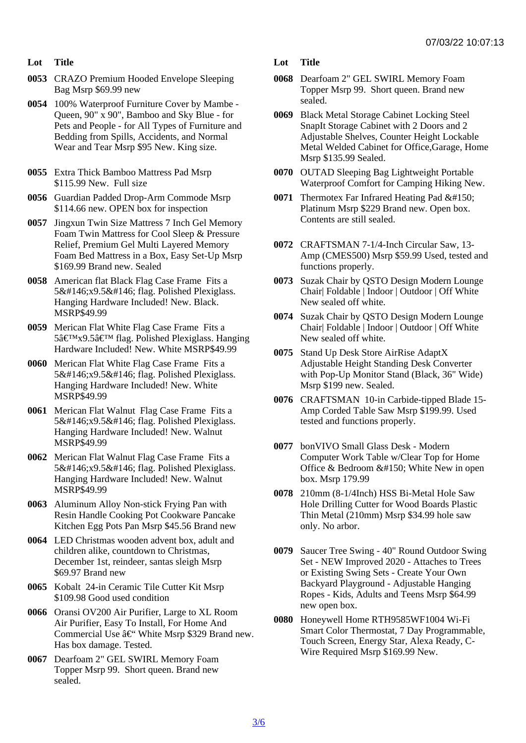- Lot Title
- 0053 CRAZO Premium Hooded Envelope Sleeping Bag Msrp \$69.99 new
- 0054 100% Waterproof Furniture Cover by Mambe Queen, 90" x 90", Bamboo and Sky Blue - for Pets and People - for All Types of Furniture and Bedding from Spills, Accidents, and Normal Wear and Tear Msrp \$95 New. King size.
- 0055 Extra Thick Bamboo Mattress Pad Msrp \$115.99 New. Full size
- 0056 Guardian Padded Drop-Arm Commode Msrp \$114.66 new. OPEN box for inspection
- 0057 Jingxun Twin Size Mattress 7 Inch Gel Memory Foam Twin Mattress for Cool Sleep & Pressure Relief, Premium Gel Multi Layered Memory Foam Bed Mattress in a Box, Easy Set-Up Msrp \$169.99 Brand new. Sealed
- 0058 American flat Black Flag Case Frame Fits a 5'x9.5' flag. Polished Plexiglass. Hanging Hardware Included! New. Black. MSRP\$49.99
- 0059 Merican Flat White Flag Case Frame Fits a 5'x9.5' flag. Polished Plexiglass. Hanging Hardware Included! New. White MSRP\$49.99
- 0060 Merican Flat White Flag Case Frame Fits a 5'x9.5' flag. Polished Plexiglass. Hanging Hardware Included! New. White MSRP\$49.99
- 0061 Merican Flat Walnut Flag Case Frame Fits a 5'x9.5' flag. Polished Plexiglass. Hanging Hardware Included! New. Walnut MSRP\$49.99
- 0062 Merican Flat Walnut Flag Case Frame Fits a 5'x9.5' flag. Polished Plexiglass. Hanging Hardware Included! New. Walnut MSRP\$49.99
- 0063 Aluminum Alloy Non-stick Frying Pan with Resin Handle Cooking Pot Cookware Pancake Kitchen Egg Pots Pan Msrp \$45.56 Brand new
- 0064 LED Christmas wooden advent box, adult and children alike, countdown to Christmas, December 1st, reindeer, santas sleigh Msrp \$69.97 Brand new
- 0065 Kobalt 24-in Ceramic Tile Cutter Kit Msrp \$109.98 Good used condition
- 0066 Oransi OV200 Air Purifier, Large to XL Room Air Purifier, Easy To Install, For Home And Commercial Use †"White Msrp \$329 Brand new. Has box damage. Tested.
- 0067 Dearfoam 2" GEL SWIRL Memory Foam Topper Msrp 99. Short queen. Brand new sealed.

Lot Title

- 0068 Dearfoam 2" GEL SWIRL Memory Foam Topper Msrp 99. Short queen. Brand new sealed.
- 0069 Black Metal Storage Cabinet Locking Steel SnapIt Storage Cabinet with 2 Doors and 2 Adjustable Shelves, Counter Height Lockable Metal Welded Cabinet for Office,Garage, Home Msrp \$135.99 Sealed.
- 0070 OUTAD Sleeping Bag Lightweight Portable Waterproof Comfort for Camping Hiking New.
- 0071 Thermotex Far Infrared Heating Pad  $&\#150$ ; Platinum Msrp \$229 Brand new. Open box. Contents are still sealed.
- 0072 CRAFTSMAN 7-1/4-Inch Circular Saw, 13- Amp (CMES500) Msrp \$59.99 Used, tested and functions properly.
- 0073 Suzak Chair by QSTO Design Modern Lounge Chair| Foldable | Indoor | Outdoor | Off White New sealed off white.
- 0074 Suzak Chair by QSTO Design Modern Lounge Chair| Foldable | Indoor | Outdoor | Off White New sealed off white.
- 0075 Stand Up Desk Store AirRise AdaptX Adjustable Height Standing Desk Converter with Pop-Up Monitor Stand (Black, 36" Wide) Msrp \$199 new. Sealed.
- 0076 CRAFTSMAN 10-in Carbide-tipped Blade 15- Amp Corded Table Saw Msrp \$199.99. Used tested and functions properly.
- 0077 bonVIVO Small Glass Desk Modern Computer Work Table w/Clear Top for Home Office & Bedroom – White New in open box. Msrp 179.99
- 0078 210mm (8-1/4Inch) HSS Bi-Metal Hole Saw Hole Drilling Cutter for Wood Boards Plastic Thin Metal (210mm) Msrp \$34.99 hole saw only. No arbor.
- 0079 Saucer Tree Swing 40" Round Outdoor Swing Set - NEW Improved 2020 - Attaches to Trees or Existing Swing Sets - Create Your Own Backyard Playground - Adjustable Hanging Ropes - Kids, Adults and Teens Msrp \$64.99 new open box.
- 0080 Honeywell Home RTH9585WF1004 Wi-Fi Smart Color Thermostat, 7 Day Programmable, Touch Screen, Energy Star, Alexa Ready, C-Wire Required Msrp \$169.99 New.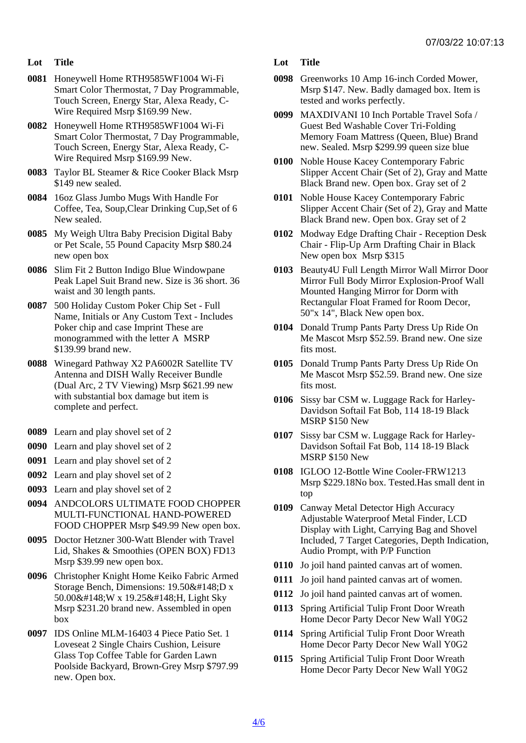- Lot Title
- 0081 Honeywell Home RTH9585WF1004 Wi-Fi Smart Color Thermostat, 7 Day Programmable, Touch Screen, Energy Star, Alexa Ready, C-Wire Required Msrp \$169.99 New.
- 0082 Honeywell Home RTH9585WF1004 Wi-Fi Smart Color Thermostat, 7 Day Programmable, Touch Screen, Energy Star, Alexa Ready, C-Wire Required Msrp \$169.99 New.
- 0083 Taylor BL Steamer & Rice Cooker Black Msrp \$149 new sealed.
- 0084 16oz Glass Jumbo Mugs With Handle For Coffee, Tea, Soup,Clear Drinking Cup,Set of 6 New sealed.
- 0085 My Weigh Ultra Baby Precision Digital Baby or Pet Scale, 55 Pound Capacity Msrp \$80.24 new open box
- 0086 Slim Fit 2 Button Indigo Blue Windowpane Peak Lapel Suit Brand new. Size is 36 short. 36 waist and 30 length pants.
- 0087 500 Holiday Custom Poker Chip Set Full Name, Initials or Any Custom Text - Includes Poker chip and case Imprint These are monogrammed with the letter A MSRP \$139.99 brand new.
- 0088 Winegard Pathway X2 PA6002R Satellite TV Antenna and DISH Wally Receiver Bundle (Dual Arc, 2 TV Viewing) Msrp \$621.99 new with substantial box damage but item is complete and perfect.
- 0089 Learn and play shovel set of 2
- 0090 Learn and play shovel set of 2
- 0091 Learn and play shovel set of 2
- 0092 Learn and play shovel set of 2
- 0093 Learn and play shovel set of 2
- 0094 ANDCOLORS ULTIMATE FOOD CHOPPER MULTI-FUNCTIONAL HAND-POWERED FOOD CHOPPER Msrp \$49.99 New open box.
- 0095 Doctor Hetzner 300-Watt Blender with Travel Lid, Shakes & Smoothies (OPEN BOX) FD13 Msrp \$39.99 new open box.
- 0096 Christopher Knight Home Keiko Fabric Armed Storage Bench, Dimensions: 19.50"D x 50.00"W x 19.25"H, Light Sky Msrp \$231.20 brand new. Assembled in open box
- 0097 IDS Online MLM-16403 4 Piece Patio Set. 1 Loveseat 2 Single Chairs Cushion, Leisure Glass Top Coffee Table for Garden Lawn Poolside Backyard, Brown-Grey Msrp \$797.99 new. Open box.

Lot Title

- 0098 Greenworks 10 Amp 16-inch Corded Mower, Msrp \$147. New. Badly damaged box. Item is tested and works perfectly.
- 0099 MAXDIVANI 10 Inch Portable Travel Sofa / Guest Bed Washable Cover Tri-Folding Memory Foam Mattress (Queen, Blue) Brand new. Sealed. Msrp \$299.99 queen size blue
- 0100 Noble House Kacey Contemporary Fabric Slipper Accent Chair (Set of 2), Gray and Matte Black Brand new. Open box. Gray set of 2
- 0101 Noble House Kacey Contemporary Fabric Slipper Accent Chair (Set of 2), Gray and Matte Black Brand new. Open box. Gray set of 2
- 0102 Modway Edge Drafting Chair Reception Desk Chair - Flip-Up Arm Drafting Chair in Black New open box Msrp \$315
- 0103 Beauty4U Full Length Mirror Wall Mirror Door Mirror Full Body Mirror Explosion-Proof Wall Mounted Hanging Mirror for Dorm with Rectangular Float Framed for Room Decor, 50"x 14", Black New open box.
- 0104 Donald Trump Pants Party Dress Up Ride On Me Mascot Msrp \$52.59. Brand new. One size fits most.
- 0105 Donald Trump Pants Party Dress Up Ride On Me Mascot Msrp \$52.59. Brand new. One size fits most.
- 0106 Sissy bar CSM w. Luggage Rack for Harley-Davidson Softail Fat Bob, 114 18-19 Black MSRP \$150 New
- 0107 Sissy bar CSM w. Luggage Rack for Harley-Davidson Softail Fat Bob, 114 18-19 Black MSRP \$150 New
- 0108 IGLOO 12-Bottle Wine Cooler-FRW1213 Msrp \$229.18No box. Tested.Has small dent in top
- 0109 Canway Metal Detector High Accuracy Adjustable Waterproof Metal Finder, LCD Display with Light, Carrying Bag and Shovel Included, 7 Target Categories, Depth Indication, Audio Prompt, with P/P Function
- 0110 Jo joil hand painted canvas art of women.
- 0111 Jo joil hand painted canvas art of women.
- 0112 Jo joil hand painted canvas art of women.
- 0113 Spring Artificial Tulip Front Door Wreath Home Decor Party Decor New Wall Y0G2
- 0114 Spring Artificial Tulip Front Door Wreath Home Decor Party Decor New Wall Y0G2
- 0115 Spring Artificial Tulip Front Door Wreath Home Decor Party Decor New Wall Y0G2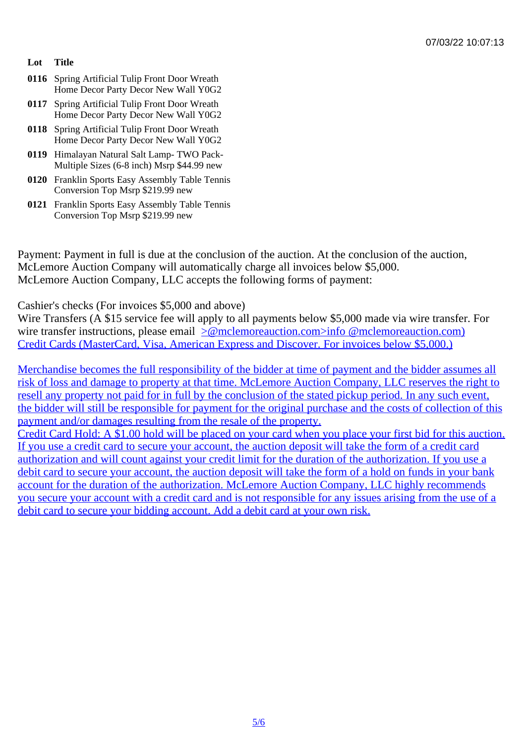- Lot Title
- 0116 Spring Artificial Tulip Front Door Wreath Home Decor Party Decor New Wall Y0G2
- 0117 Spring Artificial Tulip Front Door Wreath Home Decor Party Decor New Wall Y0G2
- 0118 Spring Artificial Tulip Front Door Wreath Home Decor Party Decor New Wall Y0G2
- 0119 Himalayan Natural Salt Lamp- TWO Pack-Multiple Sizes (6-8 inch) Msrp \$44.99 new
- 0120 Franklin Sports Easy Assembly Table Tennis Conversion Top Msrp \$219.99 new
- 0121 Franklin Sports Easy Assembly Table Tennis Conversion Top Msrp \$219.99 new

Payment: Payment in full is due at the conclusion of the auction. At the conclusion of the auction, McLemore Auction Company will automatically charge all invoices below \$5,000. McLemore Auction Company, LLC accepts the following forms of payment:

Cashier's checks (For invoices \$5,000 and above)

Wire Transfers (A \$15 service fee will apply to all payments below \$5,000 made via wire transfer. For wire transfer instructions, please email molemoreauction.com>info @mclemoreauction.com) Credit Cards (MasterCard, Visa, American Express and Discover. For invoices below \$5,000.)

Merchandise becomes the full resp[onsibility of the bidder at time of payment and the bidd](mailto:info@mclemoreauction.com</c:alink)er assumes a [risk of loss and damage to property at that time. McLemore Auction Company, LLC re](mailto:info@mclemoreauction.com</c:alink)serves the right to resell any property not paid for in full by the conclusion of the stated pickup period. In any such event, [the bidder will still be responsible for payment for the original purchase and the costs of collecti](mailto:info@mclemoreauction.com</c:alink)on of this payment and/or damages resulting from the resale of the property. [Credit Card Hold: A \\$1.00 hold will be placed on your card when you place your first bid for this](mailto:info@mclemoreauction.com</c:alink) auction. [If you use a credit card to secure your account, the auction deposit will take the form of a credit c](mailto:info@mclemoreauction.com</c:alink)ard [authorization and will count against your credit limit for the d](mailto:info@mclemoreauction.com</c:alink)uration of the authorization. If you use a [debit card to secure your account, the auction deposit will take the form of a hold on funds in you](mailto:info@mclemoreauction.com</c:alink)r bank [account for the duration of the authorization. McLemore Auction Company, LLC highly reco](mailto:info@mclemoreauction.com</c:alink)mmends [you secure your account with a credit card and is not responsible for any issues arising from](mailto:info@mclemoreauction.com</c:alink) the use of [debit card to secure your bidding account. Add a debit card at your own risk.](mailto:info@mclemoreauction.com</c:alink)